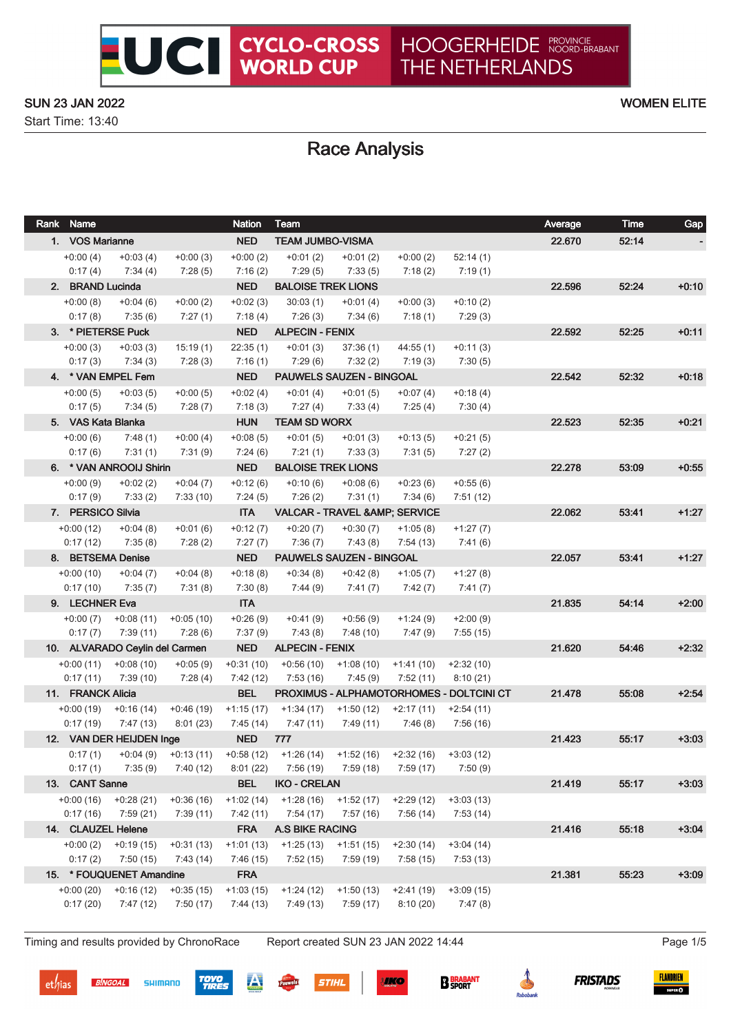Start Time: 13:40

# Race Analysis

UCI CYCLO-CROSS

| Rank Name               |                                      |                         | <b>Nation</b>           | Team                                                        |                                 |                         |                                          | Average | Time    | Gap     |
|-------------------------|--------------------------------------|-------------------------|-------------------------|-------------------------------------------------------------|---------------------------------|-------------------------|------------------------------------------|---------|---------|---------|
| 1. VOS Marianne         |                                      |                         | <b>NED</b>              | <b>TEAM JUMBO-VISMA</b>                                     |                                 |                         |                                          | 22.670  | 52:14   |         |
| $+0:00(4)$              | $+0:03(4)$                           | $+0:00(3)$              | $+0:00(2)$              | $+0:01(2)$                                                  | $+0:01(2)$                      | $+0:00(2)$              | 52:14(1)                                 |         |         |         |
| 0:17(4)                 | 7:34(4)                              | 7:28(5)                 | 7:16(2)                 | 7:29(5)                                                     | 7:33(5)                         | 7:18(2)                 | 7:19(1)                                  |         |         |         |
| 2. BRAND Lucinda        |                                      |                         | <b>NED</b>              | <b>BALOISE TREK LIONS</b>                                   |                                 |                         |                                          | 22.596  | 52:24   | $+0:10$ |
| $+0:00(8)$              | $+0:04(6)$                           | $+0:00(2)$              | $+0.02(3)$              | 30:03(1)                                                    | $+0:01(4)$                      | $+0:00(3)$              | $+0:10(2)$                               |         |         |         |
| 0:17(8)                 | 7:35(6)                              | 7:27 (1)                | 7:18(4)                 | 7:26 (3)                                                    | 7:34 (6)                        | 7:18 (1)                | 7:29(3)                                  |         |         |         |
|                         | 3. * PIETERSE Puck                   |                         | <b>NED</b>              | <b>ALPECIN - FENIX</b>                                      |                                 |                         |                                          | 22.592  | 52:25   | $+0:11$ |
| $+0:00(3)$              | $+0:03(3)$                           | 15:19(1)                | 22:35(1)                | $+0:01(3)$                                                  | 37:36(1)                        | 44:55(1)                | $+0:11(3)$                               |         |         |         |
| 0:17(3)                 | 7:34(3)                              | 7:28(3)                 | 7:16(1)                 | 7:29(6)                                                     | 7:32(2)                         | 7:19 (3)                | 7:30(5)                                  |         |         |         |
|                         | 4. * VAN EMPEL Fem                   |                         | <b>NED</b>              | PAUWELS SAUZEN - BINGOAL                                    |                                 |                         |                                          | 22.542  | 52:32   | $+0:18$ |
| $+0:00(5)$              | $+0:03(5)$                           | $+0:00(5)$              | $+0.02(4)$              | $+0:01(4)$                                                  | $+0:01(5)$                      | $+0:07(4)$              | $+0:18(4)$                               |         |         |         |
| 0:17(5)                 | 7:34 (5)                             | 7:28(7)                 | 7:18(3)                 | 7:27(4)                                                     | 7:33(4)                         | 7:25(4)                 | 7:30(4)                                  |         |         |         |
| 5. VAS Kata Blanka      |                                      |                         | <b>HUN</b>              | <b>TEAM SD WORX</b>                                         |                                 |                         |                                          | 22.523  | 52:35   | $+0.21$ |
| $+0:00(6)$              | 7:48(1)                              | $+0:00(4)$              | $+0.08(5)$              | $+0:01(5)$<br>7:21(1)                                       | $+0:01(3)$                      | $+0:13(5)$              | $+0:21(5)$                               |         |         |         |
| 0:17(6)                 | 7:31(1)<br>6. * VAN ANROOIJ Shirin   | 7:31 (9)                | 7:24 (6)<br><b>NED</b>  | <b>BALOISE TREK LIONS</b>                                   | 7:33 (3)                        | 7:31 (5)                | 7:27(2)                                  | 22.278  | 53:09   | $+0:55$ |
| $+0:00(9)$              | $+0:02(2)$                           | $+0:04(7)$              | $+0:12(6)$              | $+0:10(6)$                                                  | $+0.08(6)$                      | $+0:23(6)$              | $+0:55(6)$                               |         |         |         |
| 0:17(9)                 | 7:33(2)                              | 7:33(10)                | 7:24(5)                 | 7:26 (2)                                                    | 7:31(1)                         | 7:34(6)                 | 7:51(12)                                 |         |         |         |
| 7. PERSICO Silvia       |                                      |                         | <b>ITA</b>              | <b>VALCAR - TRAVEL &amp; AMP; SERVICE</b>                   |                                 |                         |                                          | 22.062  | 53:41   | $+1:27$ |
| $+0:00(12)$             | $+0:04(8)$                           | $+0:01(6)$              | $+0:12(7)$              | $+0:20(7)$                                                  | $+0:30(7)$                      | $+1:05(8)$              | $+1:27(7)$                               |         |         |         |
| 0:17(12)                | 7:35(8)                              | 7:28(2)                 | 7:27(7)                 | 7:36(7)                                                     | 7:43(8)                         | 7:54(13)                | 7:41 (6)                                 |         |         |         |
|                         | 8. BETSEMA Denise                    |                         | <b>NED</b>              |                                                             | <b>PAUWELS SAUZEN - BINGOAL</b> |                         |                                          | 22.057  | 53:41   | $+1:27$ |
| $+0.00(10)$             | $+0:04(7)$                           | $+0:04(8)$              | $+0.18(8)$              | $+0.34(8)$                                                  | +0:42 (8)                       | $+1:05(7)$              | $+1:27(8)$                               |         |         |         |
| 0:17(10)                | 7:35(7)                              | 7:31(8)                 | 7:30(8)                 | 7:44 (9)                                                    | 7:41(7)                         | 7:42 (7)                | 7:41(7)                                  |         |         |         |
| 9. LECHNER Eva          |                                      |                         | <b>ITA</b>              |                                                             |                                 |                         |                                          | 21.835  | 54:14   | $+2:00$ |
|                         | $+0.00(7)$ $+0.08(11)$               | $+0.05(10)$             | $+0.26(9)$              | $+0:41(9)$                                                  | $+0.56(9)$                      | $+1:24(9)$              | $+2:00(9)$                               |         |         |         |
| 0:17(7)                 | 7:39 (11)                            | 7:28 (6)                | 7:37(9)                 | 7:43 (8)                                                    | 7:48 (10)                       | 7:47 (9)                | 7:55(15)                                 |         |         |         |
|                         | 10. ALVARADO Ceylin del Carmen       |                         | <b>NED</b>              | <b>ALPECIN - FENIX</b>                                      |                                 |                         | 21.620                                   | 54:46   | $+2:32$ |         |
|                         | $+0.00(11)$ $+0.08(10)$              | $+0.05(9)$              | $+0:31(10)$             | $+0.56(10)$                                                 | +1:08 (10)                      | +1:41 (10)              | $+2:32(10)$                              |         |         |         |
| 0:17(11)                | 7:39 (10)                            | 7:28(4)                 | 7:42(12)                | 7:53(16)                                                    | 7:45(9)                         | 7:52(11)                | 8:10(21)                                 |         |         |         |
| 11. FRANCK Alicia       |                                      |                         | <b>BEL</b>              |                                                             |                                 |                         | PROXIMUS - ALPHAMOTORHOMES - DOLTCINI CT | 21.478  | 55:08   | $+2:54$ |
| $+0:00(19)$             | $+0:16(14)$                          | $+0.46(19)$             | $+1:15(17)$             | $+1:34(17)$                                                 | +1:50 (12)                      | $+2:17(11)$             | $+2:54(11)$                              |         |         |         |
| 0:17(19)                | 7:47 (13)                            | 8:01(23)                | 7:45 (14)               | 7:47 (11)                                                   | 7:49 (11)                       | 7:46(8)                 | 7:56 (16)                                |         |         |         |
|                         | 12. VAN DER HEIJDEN Inge             |                         | <b>NED</b>              | 777                                                         |                                 |                         |                                          | 21.423  | 55:17   | $+3:03$ |
| 0:17(1)                 |                                      | $+0.04(9)$ $+0.13(11)$  |                         | $+0.58(12)$ $+1.26(14)$ $+1.52(16)$ $+2.32(16)$ $+3.03(12)$ |                                 |                         |                                          |         |         |         |
| 0:17(1)                 | 7:35(9)                              | 7:40 (12)               | 8:01(22)                | 7:56 (19)                                                   | 7:59 (18)                       | 7:59(17)                | 7:50(9)                                  |         |         |         |
| 13. CANT Sanne          |                                      |                         | <b>BEL</b>              | <b>IKO - CRELAN</b>                                         |                                 |                         |                                          | 21.419  | 55:17   | $+3:03$ |
| $+0:00(16)$             | $+0.28(21)$                          | $+0.36(16)$             | $+1:02(14)$             | $+1:28(16)$                                                 | $+1:52(17)$                     | $+2:29(12)$             | $+3:03(13)$                              |         |         |         |
| 0:17(16)                | 7:59 (21)                            | 7:39(11)                | 7:42(11)                | 7:54 (17)                                                   | 7:57 (16)                       | 7:56(14)                | 7:53(14)                                 |         |         |         |
| 14. CLAUZEL Helene      |                                      |                         | <b>FRA</b>              | <b>A.S BIKE RACING</b>                                      |                                 |                         |                                          | 21.416  | 55:18   | $+3:04$ |
| $+0:00(2)$              | $+0:19(15)$                          | $+0:31(13)$             | $+1:01(13)$             | $+1:25(13)$                                                 | $+1:51(15)$                     | $+2:30(14)$             | $+3:04(14)$                              |         |         |         |
| 0:17(2)                 | 7:50(15)<br>15. * FOUQUENET Amandine | 7:43 (14)               | 7:46 (15)<br><b>FRA</b> | 7:52(15)                                                    | 7:59(19)                        | 7:58(15)                | 7:53(13)                                 | 21.381  |         | $+3:09$ |
|                         |                                      |                         |                         |                                                             |                                 |                         |                                          |         | 55:23   |         |
| $+0:00(20)$<br>0:17(20) | $+0:16(12)$<br>7:47(12)              | $+0:35(15)$<br>7:50(17) | $+1:03(15)$<br>7:44(13) | $+1:24(12)$<br>7:49 (13)                                    | $+1:50(13)$<br>7:59(17)         | $+2:41(19)$<br>8:10(20) | $+3:09(15)$<br>7:47(8)                   |         |         |         |
|                         |                                      |                         |                         |                                                             |                                 |                         |                                          |         |         |         |

Timing and results provided by ChronoRace Report created SUN 23 JAN 2022 14:44 Page 1/5

SHIMANO

**BINGOAL** 

**TOYO<br>TIRES** 

**STIHL** 

**SIKO** 

**B** BRABANT

é

FLANDRIEN

 $SUPER$ 

**FRISTADS** 

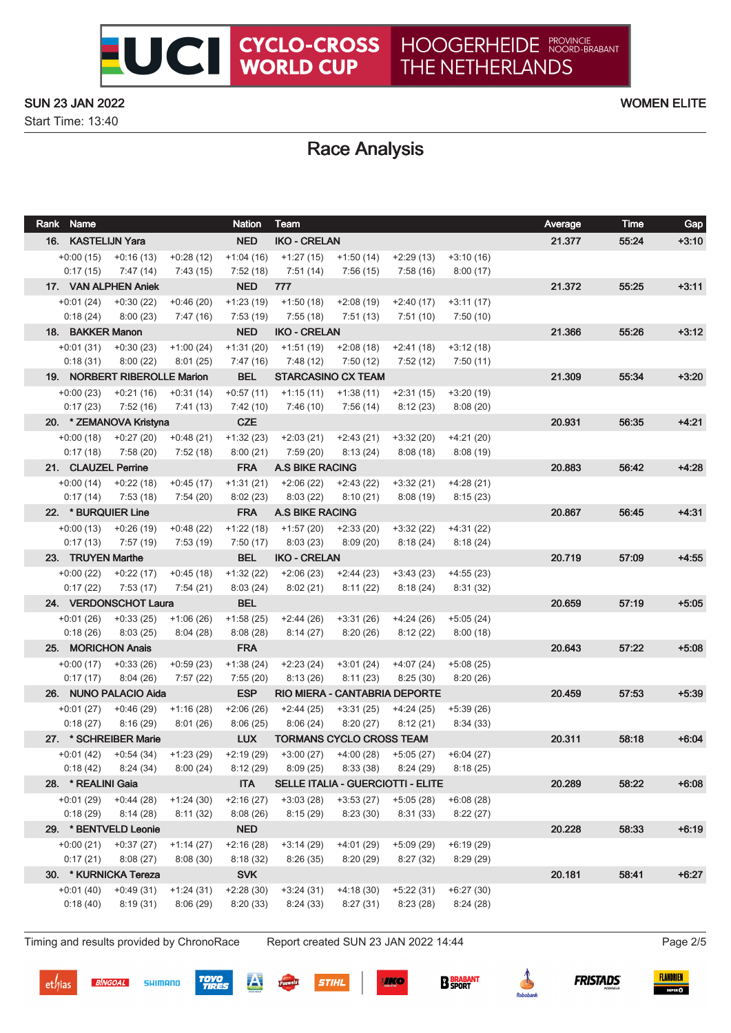Start Time: 13:40

# Race Analysis

UCI CYCLO-CROSS

| Rank Name           |                                      |                          | <b>Nation</b>           | <b>Team</b>                             |                                 |                                   |                         | Average | Time  | Gap     |
|---------------------|--------------------------------------|--------------------------|-------------------------|-----------------------------------------|---------------------------------|-----------------------------------|-------------------------|---------|-------|---------|
| 16. KASTELIJN Yara  |                                      |                          | <b>NED</b>              | <b>IKO - CRELAN</b>                     |                                 |                                   |                         | 21.377  | 55:24 | $+3:10$ |
|                     | $+0.00(15)$ $+0.16(13)$              | $+0:28(12)$              | $+1:04(16)$             | $+1:27(15)$                             | $+1:50(14)$                     | $+2:29(13)$                       | $+3:10(16)$             |         |       |         |
| 0:17(15)            | 7:47 (14)                            | 7:43(15)                 | 7:52(18)                | 7:51 (14)                               | 7:56 (15)                       | 7:58 (16)                         | 8:00(17)                |         |       |         |
|                     | 17. VAN ALPHEN Aniek                 |                          | <b>NED</b>              | 777                                     |                                 |                                   |                         | 21.372  | 55:25 | $+3:11$ |
| $+0:01(24)$         | $+0:30(22)$                          | $+0.46(20)$              | $+1:23(19)$             | $+1:50(18)$                             | $+2:08(19)$                     | $+2:40(17)$                       | $+3:11(17)$             |         |       |         |
| 0:18(24)            | 8:00 (23)                            | 7:47 (16)                | 7:53 (19)               | 7:55 (18)                               | 7:51 (13)                       | 7:51 (10)                         | 7:50(10)                |         |       |         |
| 18. BAKKER Manon    |                                      |                          | <b>NED</b>              | <b>IKO - CRELAN</b>                     |                                 |                                   |                         | 21.366  | 55:26 | $+3:12$ |
|                     | $+0.01(31)$ $+0.30(23)$              | $+1:00(24)$              | $+1:31(20)$             | $+1:51(19)$                             | $+2:08(18)$                     | +2:41 (18)                        | $+3:12(18)$             |         |       |         |
| 0:18(31)            | 8:00(22)                             | 8:01(25)                 | 7:47(16)                | 7:48 (12)                               | 7:50 (12)                       | 7:52(12)                          | 7:50(11)                |         |       |         |
|                     | 19. NORBERT RIBEROLLE Marion         |                          | <b>BEL</b>              |                                         | <b>STARCASINO CX TEAM</b>       |                                   |                         | 21.309  | 55:34 | $+3:20$ |
|                     | $+0:00(23)$ $+0:21(16)$              | $+0:31(14)$              | $+0:57(11)$             | $+1:15(11)$                             | +1:38 (11)                      | +2:31 (15)                        | $+3:20(19)$             |         |       |         |
| 0:17(23)            | 7:52 (16)                            | 7:41 (13)                | 7:42 (10)               | 7:46 (10)                               | 7:56 (14)                       | 8:12(23)                          | 8:08(20)                |         |       |         |
|                     | 20. * ZEMANOVA Kristyna              |                          | <b>CZE</b>              |                                         |                                 |                                   |                         | 20.931  | 56:35 | $+4:21$ |
|                     | $+0.00(18)$ $+0.27(20)$              | $+0.48(21)$              | $+1:32(23)$             | $+2:03(21)$                             | +2:43 (21)                      | $+3:32(20)$                       | $+4:21(20)$             |         |       |         |
| 0:17(18)            | 7:58 (20)                            | 7:52 (18)                | 8:00(21)                | 7:59 (20)                               | 8:13(24)                        | 8:08(18)                          | 8:08(19)                |         |       |         |
| 21. CLAUZEL Perrine |                                      |                          | <b>FRA</b>              | <b>A.S BIKE RACING</b>                  |                                 |                                   |                         | 20.883  | 56:42 | $+4:28$ |
| 0:17(14)            | $+0:00(14)$ $+0:22(18)$<br>7:53 (18) | $+0.45(17)$<br>7:54 (20) | $+1:31(21)$<br>8:02(23) | $+2:06(22)$<br>8:03(22)                 | +2:43 (22)<br>8:10 (21)         | $+3:32(21)$<br>8:08(19)           | +4:28 (21)              |         |       |         |
| 22. * BURQUIER Line |                                      |                          | <b>FRA</b>              | <b>A.S BIKE RACING</b>                  |                                 |                                   | 8:15(23)                | 20.867  | 56:45 | $+4:31$ |
|                     | $+0.00(13)$ $+0.26(19)$              | $+0.48(22)$              | $+1:22(18)$             | +1:57 (20)                              | $+2:33(20)$                     | +3:32 (22)                        |                         |         |       |         |
| 0:17(13)            | 7:57 (19)                            | 7:53 (19)                | 7:50(17)                | 8:03(23)                                | 8:09 (20)                       | 8:18(24)                          | $+4:31(22)$<br>8:18(24) |         |       |         |
| 23. TRUYEN Marthe   |                                      |                          | <b>BEL</b>              | <b>IKO - CRELAN</b>                     |                                 |                                   |                         | 20.719  | 57:09 | $+4:55$ |
| $+0:00(22)$         | +0:22 (17)                           | $+0.45(18)$              | $+1:32(22)$             | $+2:06(23)$                             | +2:44 (23)                      | +3:43 (23)                        | $+4:55(23)$             |         |       |         |
| 0:17(22)            | 7:53 (17)                            | 7:54(21)                 | 8:03(24)                | 8:02(21)                                | 8:11 (22)                       | 8:18 (24)                         | 8:31(32)                |         |       |         |
|                     | 24. VERDONSCHOT Laura                |                          | <b>BEL</b>              |                                         |                                 |                                   |                         | 20.659  | 57:19 | $+5:05$ |
|                     | $+0.01(26)$ $+0.33(25)$              | $+1:06(26)$              | $+1:58(25)$             | $+2:44(26)$                             | +3:31 (26)                      | +4:24 (26)                        | $+5:05(24)$             |         |       |         |
| 0:18(26)            | 8:03(25)                             | 8:04(28)                 | 8:08(28)                | 8:14 (27)                               | 8:20(26)                        | 8:12(22)                          | 8:00(18)                |         |       |         |
| 25. MORICHON Anais  |                                      |                          | <b>FRA</b>              |                                         |                                 |                                   |                         | 20.643  | 57:22 | $+5.08$ |
|                     | $+0:00(17)$ $+0:33(26)$              | $+0.59(23)$              | $+1:38(24)$             | +2:23 (24)                              | +3:01 (24)                      | +4:07 (24)                        | +5:08 (25)              |         |       |         |
| 0:17(17)            | 8:04(26)                             | 7:57(22)                 | 7:55(20)                | 8:13(26)                                | 8:11(23)                        | 8:25(30)                          | 8:20(26)                |         |       |         |
|                     | 26. NUNO PALACIO Aida                |                          | <b>ESP</b>              |                                         |                                 | RIO MIERA - CANTABRIA DEPORTE     |                         | 20.459  | 57:53 | $+5:39$ |
| $+0:01(27)$         | +0:46 (29)                           | $+1:16(28)$              | $+2:06(26)$             | $+2:44(25)$                             | $+3:31(25)$                     | $+4:24(25)$                       | $+5:39(26)$             |         |       |         |
| 0:18(27)            | 8:16(29)                             | 8:01(26)                 | 8:06(25)                | 8:06(24)                                | 8:20(27)                        | 8:12(21)                          | 8:34(33)                |         |       |         |
|                     | 27. * SCHREIBER Marie                |                          | <b>LUX</b>              |                                         | <b>TORMANS CYCLO CROSS TEAM</b> |                                   |                         | 20.311  | 58:18 | $+6.04$ |
|                     | $+0.01(42)$ $+0.54(34)$              | +1:23 (29)               | +2:19 (29)              |                                         | $+3:00(27)$ $+4:00(28)$         | $+5:05(27)$                       | $+6:04(27)$             |         |       |         |
|                     | $0:18(42)$ $8:24(34)$                |                          |                         | 8:00 (24) 8:12 (29) 8:09 (25) 8:33 (38) |                                 | 8:24(29)                          | 8:18(25)                |         |       |         |
| 28. * REALINI Gaia  |                                      |                          | <b>ITA</b>              |                                         |                                 | SELLE ITALIA - GUERCIOTTI - ELITE |                         | 20.289  | 58:22 | $+6:08$ |
|                     | $+0.01(29)$ $+0.44(28)$              | $+1:24(30)$              | $+2:16(27)$             | $+3:03(28)$                             | $+3:53(27)$                     | $+5:05(28)$                       | $+6:08(28)$             |         |       |         |
| 0:18(29)            | 8:14 (28)                            | 8:11(32)                 | 8:08(26)                | 8:15(29)                                | 8:23(30)                        | 8:31(33)                          | 8:22(27)                |         |       |         |
|                     | 29. * BENTVELD Leonie                |                          | <b>NED</b>              |                                         |                                 |                                   |                         | 20.228  | 58:33 | $+6:19$ |
| $+0:00(21)$         | $+0:37(27)$                          | $+1:14(27)$              | $+2:16(28)$             | $+3:14(29)$                             | $+4:01(29)$                     | $+5:09(29)$                       | $+6:19(29)$             |         |       |         |
| 0:17(21)            | 8:08(27)                             | 8:08(30)                 | 8:18(32)                | 8:26(35)                                | 8:20(29)                        | 8:27(32)                          | 8:29(29)                |         |       |         |
|                     | 30. * KURNICKA Tereza                |                          | <b>SVK</b>              |                                         |                                 |                                   |                         | 20.181  | 58:41 | $+6:27$ |
| $+0:01(40)$         | $+0:49(31)$                          | $+1:24(31)$              | $+2:28(30)$             | $+3:24(31)$                             | $+4:18(30)$                     | $+5:22(31)$                       | $+6:27(30)$             |         |       |         |
| 0:18(40)            | 8:19(31)                             | 8:06(29)                 | 8:20(33)                | 8:24(33)                                | 8:27(31)                        | 8:23(28)                          | 8:24(28)                |         |       |         |

Timing and results provided by ChronoRace Report created SUN 23 JAN 2022 14:44 Page 2/5

**BINGOAL** 

**SIKO** 















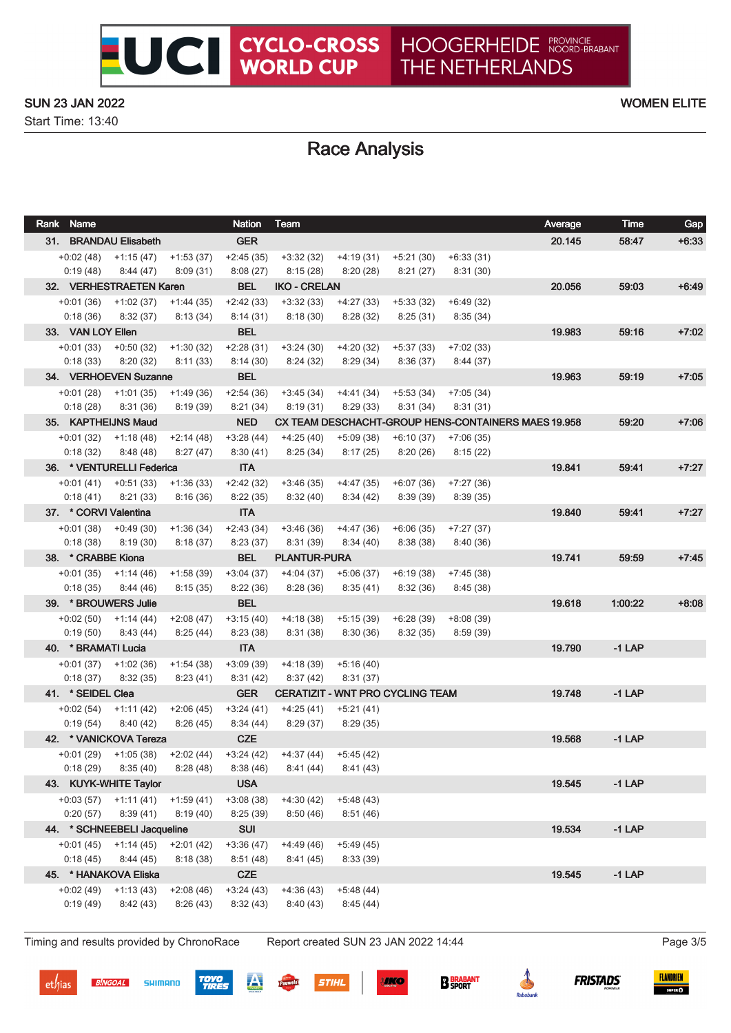Start Time: 13:40

# Race Analysis

| Rank Name               |                             |                         | <b>Nation</b>           | Team                    |                                         |                          |                         | Average                                             | <b>Time</b> | Gap     |
|-------------------------|-----------------------------|-------------------------|-------------------------|-------------------------|-----------------------------------------|--------------------------|-------------------------|-----------------------------------------------------|-------------|---------|
|                         | 31. BRANDAU Elisabeth       |                         | <b>GER</b>              |                         |                                         |                          |                         | 20.145                                              | 58:47       | $+6:33$ |
|                         | $+0.02(48)$ $+1.15(47)$     | $+1:53(37)$             | $+2:45(35)$             | $+3:32(32)$             | $+4:19(31)$                             | $+5:21(30)$              | $+6:33(31)$             |                                                     |             |         |
| 0:19(48)                | 8:44(47)                    | 8:09(31)                | 8:08(27)                | 8:15(28)                | 8:20(28)                                | 8:21(27)                 | 8:31(30)                |                                                     |             |         |
|                         | 32. VERHESTRAETEN Karen     |                         | <b>BEL</b>              | <b>IKO - CRELAN</b>     |                                         |                          |                         | 20.056                                              | 59:03       | $+6:49$ |
| $+0:01(36)$             | $+1:02(37)$                 | $+1:44(35)$             | $+2:42(33)$             | $+3:32(33)$             | $+4:27(33)$                             | $+5:33(32)$              | $+6:49(32)$             |                                                     |             |         |
| 0:18(36)                | 8:32(37)                    | 8:13(34)                | 8:14(31)                | 8:18(30)                | 8:28 (32)                               | 8:25(31)                 | 8:35(34)                |                                                     |             |         |
| 33. VAN LOY Ellen       |                             |                         | <b>BEL</b>              |                         |                                         |                          |                         | 19.983                                              | 59:16       | $+7:02$ |
| $+0:01(33)$             | $+0:50(32)$                 | $+1:30(32)$             | $+2:28(31)$             | $+3:24(30)$             | $+4:20(32)$                             | $+5:37(33)$              | $+7:02(33)$             |                                                     |             |         |
| 0:18(33)                | 8:20(32)                    | 8:11(33)                | 8:14(30)                | 8:24(32)                | 8:29(34)                                | 8:36(37)                 | 8:44(37)                |                                                     |             |         |
|                         | 34. VERHOEVEN Suzanne       |                         | <b>BEL</b>              |                         |                                         |                          |                         | 19.963                                              | 59:19       | $+7:05$ |
| $+0:01(28)$             | $+1:01(35)$                 | $+1:49(36)$             | $+2:54(36)$             | $+3:45(34)$             | $+4:41(34)$                             | $+5:53(34)$              | $+7:05(34)$             |                                                     |             |         |
| 0:18(28)                | 8:31(36)                    | 8:19(39)                | 8:21(34)                | 8:19 (31)               | 8:29(33)                                | 8:31(34)                 | 8:31(31)                |                                                     |             |         |
|                         | 35. KAPTHEIJNS Maud         |                         | <b>NED</b>              |                         |                                         |                          |                         | CX TEAM DESCHACHT-GROUP HENS-CONTAINERS MAES 19.958 | 59:20       | $+7:06$ |
| $+0:01(32)$             | $+1:18(48)$                 | $+2:14(48)$             | $+3:28(44)$             | $+4:25(40)$             | $+5:09(38)$                             | $+6:10(37)$              | $+7:06(35)$             |                                                     |             |         |
| 0:18(32)                | 8:48(48)                    | 8:27(47)                | 8:30(41)                | 8:25(34)                | 8:17(25)                                | 8:20(26)                 | 8:15(22)                |                                                     |             |         |
|                         | 36. * VENTURELLI Federica   |                         | <b>ITA</b>              |                         |                                         |                          |                         | 19.841                                              | 59:41       | $+7:27$ |
| $+0:01(41)$             | $+0:51(33)$                 | $+1:36(33)$             | $+2:42(32)$             | $+3:46(35)$             | $+4:47(35)$                             | $+6:07(36)$              | $+7:27(36)$             |                                                     |             |         |
| 0:18(41)                | 8:21(33)                    | 8:16(36)                | 8:22(35)                | 8:32(40)                | 8:34(42)                                | 8:39(39)                 | 8:39(35)                |                                                     |             |         |
| 37. * CORVI Valentina   |                             |                         | <b>ITA</b>              |                         |                                         |                          |                         | 19.840                                              | 59.41       | $+7:27$ |
| $+0:01(38)$             | $+0:49(30)$                 | $+1:36(34)$             | $+2:43(34)$             | $+3:46(36)$             | $+4:47(36)$                             | $+6:06(35)$              | $+7:27(37)$             |                                                     |             |         |
| 0:18(38)                | 8:19(30)                    | 8:18(37)                | 8:23(37)                | 8:31(39)                | 8:34(40)                                | 8:38(38)                 | 8:40(36)                |                                                     |             |         |
| 38. * CRABBE Kiona      |                             |                         | <b>BEL</b>              | <b>PLANTUR-PURA</b>     |                                         |                          |                         | 19.741                                              | 59:59       | $+7:45$ |
| $+0:01(35)$             | +1:14 (46)                  | $+1:58(39)$             | $+3:04(37)$             | $+4:04(37)$             | $+5:06(37)$                             | $+6:19(38)$              | $+7:45(38)$             |                                                     |             |         |
| 0:18(35)                | 8:44(46)                    | 8:15(35)                | 8:22(36)<br><b>BEL</b>  | 8:28(36)                | 8:35(41)                                | 8:32(36)                 | 8:45(38)                | 19.618                                              | 1:00:22     | $+8:08$ |
|                         | 39. * BROUWERS Julie        |                         |                         |                         |                                         |                          |                         |                                                     |             |         |
| $+0.02(50)$<br>0:19(50) | $+1:14(44)$<br>8:43 (44)    | $+2:08(47)$<br>8:25(44) | $+3:15(40)$<br>8:23(38) | $+4:18(38)$<br>8:31(38) | $+5:15(39)$<br>8:30(36)                 | $+6:28(39)$<br>8:32 (35) | $+8:08(39)$<br>8:59(39) |                                                     |             |         |
| 40. * BRAMATI Lucia     |                             |                         | <b>ITA</b>              |                         |                                         |                          |                         | 19.790                                              | $-1$ LAP    |         |
| $+0:01(37)$             | $+1:02(36)$                 | $+1:54(38)$             | $+3:09(39)$             | $+4:18(39)$             | $+5:16(40)$                             |                          |                         |                                                     |             |         |
| 0:18(37)                | 8:32(35)                    | 8:23(41)                | 8:31(42)                | 8:37(42)                | 8:31(37)                                |                          |                         |                                                     |             |         |
| 41. * SEIDEL Clea       |                             |                         | <b>GER</b>              |                         | <b>CERATIZIT - WNT PRO CYCLING TEAM</b> |                          |                         | 19.748                                              | $-1$ LAP    |         |
| $+0.02(54)$             | $+1:11(42)$                 | $+2:06(45)$             | $+3:24(41)$             | $+4:25(41)$             | $+5:21(41)$                             |                          |                         |                                                     |             |         |
| 0:19(54)                | 8:40(42)                    | 8:26(45)                | 8:34(44)                | 8:29(37)                | 8:29(35)                                |                          |                         |                                                     |             |         |
|                         | 42. * VANICKOVA Tereza      |                         | <b>CZE</b>              |                         |                                         |                          |                         | 19.568                                              | $-1$ LAP    |         |
|                         | $+0.01(29)$ $+1.05(38)$     | $+2:02(44)$             | +3:24 (42)              | +4:37 (44)              | +5:45 (42)                              |                          |                         |                                                     |             |         |
| 0:18(29)                | 8:35(40)                    | 8:28(48)                | 8:38(46)                | 8:41(44)                | 8:41(43)                                |                          |                         |                                                     |             |         |
|                         | 43. KUYK-WHITE Taylor       |                         | <b>USA</b>              |                         |                                         |                          |                         | 19.545                                              | $-1$ LAP    |         |
| $+0.03(57)$             | $+1:11(41)$                 | $+1:59(41)$             | $+3:08(38)$             | $+4:30(42)$             | $+5:48(43)$                             |                          |                         |                                                     |             |         |
| 0:20(57)                | 8:39(41)                    | 8:19(40)                | 8:25(39)                | 8:50(46)                | 8:51(46)                                |                          |                         |                                                     |             |         |
|                         | 44. * SCHNEEBELI Jacqueline |                         | <b>SUI</b>              |                         |                                         |                          |                         | 19.534                                              | $-1$ LAP    |         |
| +0:01 (45)              | $+1:14(45)$                 | $+2:01(42)$             | $+3:36(47)$             | $+4:49(46)$             | $+5:49(45)$                             |                          |                         |                                                     |             |         |
| 0:18(45)                | 8:44(45)                    | 8:18(38)                | 8:51(48)                | 8:41(45)                | 8:33(39)                                |                          |                         |                                                     |             |         |
|                         | 45. * HANAKOVA Eliska       |                         | <b>CZE</b>              |                         |                                         |                          |                         | 19.545                                              | $-1$ LAP    |         |
| $+0.02(49)$             | $+1:13(43)$                 | $+2:08(46)$             | $+3:24(43)$             | $+4:36(43)$             | $+5:48(44)$                             |                          |                         |                                                     |             |         |
| 0:19(49)                | 8:42(43)                    | 8:26(43)                | 8:32(43)                | 8:40(43)                | 8:45(44)                                |                          |                         |                                                     |             |         |
|                         |                             |                         |                         |                         |                                         |                          |                         |                                                     |             |         |

Timing and results provided by ChronoRace Report created SUN 23 JAN 2022 14:44 Page 3/5

SHIMANO

**BINGOAL** 













é

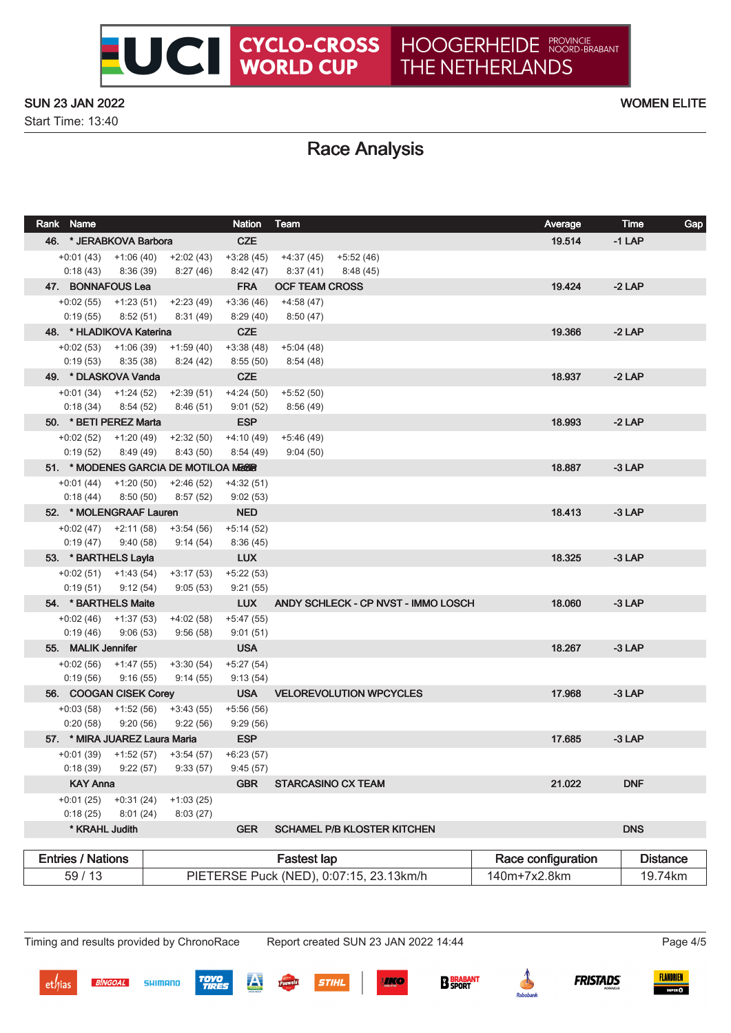Start Time: 13:40

# Race Analysis

|       | Rank Name                   |                         |                                        | <b>Nation</b> | Team                                    |                                     | Average            | <b>Time</b> | Gap             |
|-------|-----------------------------|-------------------------|----------------------------------------|---------------|-----------------------------------------|-------------------------------------|--------------------|-------------|-----------------|
|       | 46. * JERABKOVA Barbora     |                         |                                        | <b>CZE</b>    |                                         |                                     | 19.514             | $-1$ LAP    |                 |
|       |                             |                         | $+0.01(43)$ $+1.06(40)$ $+2.02(43)$    | $+3:28(45)$   | +4:37 (45)                              | +5:52 (46)                          |                    |             |                 |
|       | $0:18(43)$ $8:36(39)$       |                         | 8:27 (46)                              | 8:42 (47)     | 8:37 (41)                               | 8:48 (45)                           |                    |             |                 |
|       | 47. BONNAFOUS Lea           |                         |                                        | <b>FRA</b>    | <b>OCF TEAM CROSS</b>                   |                                     | 19.424             | $-2$ LAP    |                 |
|       | $+0.02(55)$ $+1.23(51)$     |                         | +2:23 (49)                             | $+3:36(46)$   | $+4:58(47)$                             |                                     |                    |             |                 |
|       | $0:19(55)$ $8:52(51)$       |                         | 8:31 (49)                              | 8:29(40)      | 8:50 (47)                               |                                     |                    |             |                 |
|       | 48. * HLADIKOVA Katerina    |                         |                                        | <b>CZE</b>    |                                         |                                     | 19.366             | $-2$ LAP    |                 |
|       |                             |                         | $+0.02(53)$ $+1.06(39)$ $+1.59(40)$    | $+3:38(48)$   | $+5:04(48)$                             |                                     |                    |             |                 |
|       | $0:19(53)$ $8:35(38)$       |                         | 8:24 (42)                              | 8:55 (50)     | 8:54 (48)                               |                                     |                    |             |                 |
|       | 49. * DLASKOVA Vanda        |                         |                                        | <b>CZE</b>    |                                         |                                     | 18.937             | $-2$ LAP    |                 |
|       | $+0.01(34)$ $+1.24(52)$     |                         | +2:39 (51)                             | $+4:24(50)$   | $+5:52(50)$                             |                                     |                    |             |                 |
|       | $0:18(34)$ $8:54(52)$       |                         | 8:46 (51)                              | 9:01(52)      | 8:56 (49)                               |                                     |                    |             |                 |
|       | 50. * BETI PEREZ Marta      |                         |                                        | <b>ESP</b>    |                                         |                                     | 18.993             | $-2$ LAP    |                 |
|       | $+0.02(52)$ $+1.20(49)$     |                         | $+2:32(50)$                            | $+4:10(49)$   | $+5:46(49)$                             |                                     |                    |             |                 |
|       | $0:19(52)$ $8:49(49)$       |                         | 8:43(50)                               | 8:54(49)      | 9:04(50)                                |                                     |                    |             |                 |
|       |                             |                         | 51. * MODENES GARCIA DE MOTILOA MEGGIR |               |                                         |                                     | 18.887             | $-3$ LAP    |                 |
|       |                             |                         | $+0.01(44)$ $+1.20(50)$ $+2.46(52)$    | $+4:32(51)$   |                                         |                                     |                    |             |                 |
|       | 0:18(44)                    | 8:50(50)                | 8:57(52)                               | 9:02(53)      |                                         |                                     |                    |             |                 |
|       | 52. * MOLENGRAAF Lauren     |                         |                                        | <b>NED</b>    |                                         |                                     | 18.413             | $-3$ LAP    |                 |
|       | $+0.02(47)$ $+2.11(58)$     |                         | +3:54 (56)                             | $+5:14(52)$   |                                         |                                     |                    |             |                 |
|       | 0:19(47)                    | 9:40 (58)               | 9:14 (54)                              | 8:36(45)      |                                         |                                     |                    |             |                 |
|       | 53. * BARTHELS Layla        |                         |                                        | <b>LUX</b>    |                                         |                                     | 18.325             | $-3$ LAP    |                 |
|       | $+0.02(51)$ $+1.43(54)$     |                         | $+3:17(53)$                            | $+5:22(53)$   |                                         |                                     |                    |             |                 |
|       | 0:19(51)                    | 9:12 (54)               | 9:05(53)                               | 9:21(55)      |                                         |                                     |                    |             |                 |
|       | 54. * BARTHELS Maite        |                         |                                        | <b>LUX</b>    |                                         | ANDY SCHLECK - CP NVST - IMMO LOSCH | 18.060             | $-3$ LAP    |                 |
|       | $+0.02(46)$ $+1.37(53)$     |                         | $+4:02(58)$                            | $+5:47(55)$   |                                         |                                     |                    |             |                 |
|       | 0:19(46)                    | 9:06(53)                | 9:56 (58)                              | 9:01(51)      |                                         |                                     |                    |             |                 |
|       | 55. MALIK Jennifer          |                         |                                        | <b>USA</b>    |                                         |                                     | 18.267             | $-3$ LAP    |                 |
|       | $+0.02(56)$ $+1.47(55)$     |                         | $+3:30(54)$                            | $+5:27(54)$   |                                         |                                     |                    |             |                 |
|       | 0:19(56)                    | 9:16(55)                | 9:14(55)                               | 9:13(54)      |                                         |                                     |                    |             |                 |
|       | 56. COOGAN CISEK Corey      |                         |                                        |               |                                         | USA VELOREVOLUTION WPCYCLES         | 17.968             | $-3$ LAP    |                 |
|       | $+0.03(58)$ $+1.52(56)$     |                         | +3:43 (55)                             | $+5:56(56)$   |                                         |                                     |                    |             |                 |
|       | 0:20(58)                    | 9:20(56)                | 9:22(56)                               | 9:29(56)      |                                         |                                     |                    |             |                 |
|       |                             |                         | 57. * MIRA JUAREZ Laura Maria          | <b>ESP</b>    |                                         |                                     | 17.685             | $-3$ LAP    |                 |
|       |                             |                         | $+0.01(39)$ $+1.52(57)$ $+3.54(57)$    | $+6:23(57)$   |                                         |                                     |                    |             |                 |
|       | 0:18(39)<br><b>KAY Anna</b> | 9:22(57)                | 9:33(57)                               | 9:45(57)      |                                         |                                     |                    |             |                 |
|       |                             |                         |                                        | <b>GBR</b>    |                                         | <b>STARCASINO CX TEAM</b>           | 21.022             | <b>DNF</b>  |                 |
|       | $+0:01(25)$<br>0:18(25)     | $+0:31(24)$<br>8:01(24) | $+1:03(25)$<br>8:03(27)                |               |                                         |                                     |                    |             |                 |
|       | * KRAHL Judith              |                         |                                        | <b>GER</b>    |                                         | <b>SCHAMEL P/B KLOSTER KITCHEN</b>  |                    | <b>DNS</b>  |                 |
|       |                             |                         |                                        |               |                                         |                                     |                    |             |                 |
|       | <b>Entries / Nations</b>    |                         |                                        |               | <b>Fastest lap</b>                      |                                     | Race configuration |             | <b>Distance</b> |
| 59/13 |                             |                         |                                        |               | PIETERSE Puck (NED), 0:07:15, 23.13km/h | 140m+7x2.8km                        |                    | 19.74km     |                 |

**SHIMANO** 

**BINGOAL** 

TOYO<br>TIDE

**STIHL** 

**IKO** 

**B** BRABANT

FLANDRIEN

 $\frac{1}{2}$ 

**FRISTADS**